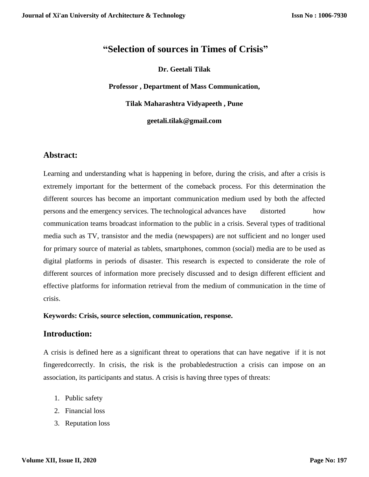# **"Selection of sources in Times of Crisis"**

### **Dr. Geetali Tilak**

**Professor , Department of Mass Communication,**

**Tilak Maharashtra Vidyapeeth , Pune**

**geetali.tilak@gmail.com**

## **Abstract:**

Learning and understanding what is happening in before, during the crisis, and after a crisis is extremely important for the betterment of the comeback process. For this determination the different sources has become an important communication medium used by both the affected persons and the emergency services. The technological advances have distorted how communication teams broadcast information to the public in a crisis. Several types of traditional media such as TV, transistor and the media (newspapers) are not sufficient and no longer used for primary source of material as tablets, smartphones, common (social) media are to be used as digital platforms in periods of disaster. This research is expected to considerate the role of different sources of information more precisely discussed and to design different efficient and effective platforms for information retrieval from the medium of communication in the time of crisis.

#### **Keywords: Crisis, source selection, communication, response.**

### **Introduction:**

A crisis is defined here as a significant threat to operations that can have negative if it is not fingeredcorrectly. In crisis, the risk is the probabledestruction a crisis can impose on an association, its participants and status. A crisis is having three types of threats:

- 1. Public safety
- 2. Financial loss
- 3. Reputation loss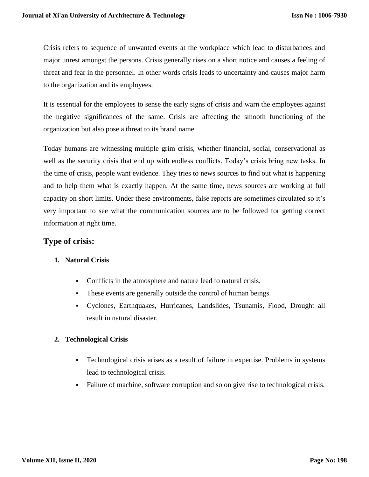Crisis refers to sequence of unwanted events at the workplace which lead to disturbances and major unrest amongst the persons. Crisis generally rises on a short notice and causes a feeling of threat and fear in the personnel. In other words crisis leads to uncertainty and causes major harm to the organization and its employees.

It is essential for the employees to sense the early signs of crisis and warn the employees against the negative significances of the same. Crisis are affecting the smooth functioning of the organization but also pose a threat to its brand name.

Today humans are witnessing multiple grim crisis, whether financial, social, conservational as well as the security crisis that end up with endless conflicts. Today's crisis bring new tasks. In the time of crisis, people want evidence. They tries to news sources to find out what is happening and to help them what is exactly happen. At the same time, news sources are working at full capacity on short limits. Under these environments, false reports are sometimes circulated so it's very important to see what the communication sources are to be followed for getting correct information at right time.

# **Type of crisis:**

## **1. Natural Crisis**

- Conflicts in the atmosphere and nature lead to natural crisis.
- These events are generally outside the control of human beings.
- Cyclones, Earthquakes, Hurricanes, Landslides, Tsunamis, Flood, Drought all result in natural disaster.

## **2. Technological Crisis**

- Technological crisis arises as a result of failure in expertise. Problems in systems lead to technological crisis.
- Failure of machine, software corruption and so on give rise to technological crisis.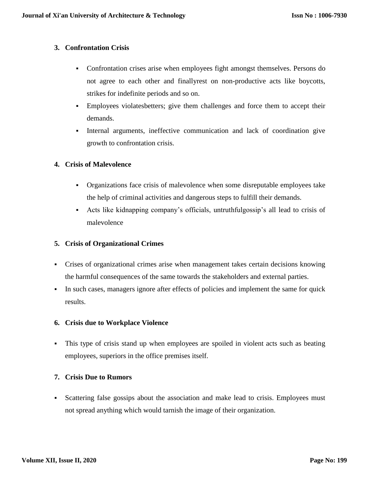### **3. Confrontation Crisis**

- Confrontation crises arise when employees fight amongst themselves. Persons do not agree to each other and finallyrest on non-productive acts like boycotts, strikes for indefinite periods and so on.
- Employees violatesbetters; give them challenges and force them to accept their demands.
- Internal arguments, ineffective communication and lack of coordination give growth to confrontation crisis.

## **4. Crisis of Malevolence**

- Organizations face crisis of malevolence when some disreputable employees take the help of criminal activities and dangerous steps to fulfill their demands.
- Acts like kidnapping company's officials, untruthfulgossip's all lead to crisis of malevolence

## **5. Crisis of Organizational Crimes**

- Crises of organizational crimes arise when management takes certain decisions knowing the harmful consequences of the same towards the stakeholders and external parties.
- In such cases, managers ignore after effects of policies and implement the same for quick results.

## **6. Crisis due to Workplace Violence**

 This type of crisis stand up when employees are spoiled in violent acts such as beating employees, superiors in the office premises itself.

## **7. Crisis Due to Rumors**

• Scattering false gossips about the association and make lead to crisis. Employees must not spread anything which would tarnish the image of their organization.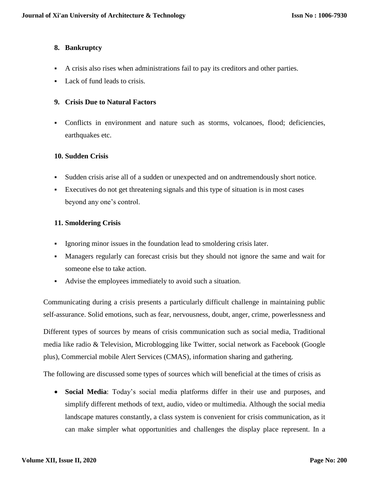## **8. Bankruptcy**

- A crisis also rises when administrations fail to pay its creditors and other parties.
- Lack of fund leads to crisis.

#### **9. Crisis Due to Natural Factors**

 Conflicts in environment and nature such as storms, volcanoes, flood; deficiencies, earthquakes etc.

#### **10. Sudden Crisis**

- Sudden crisis arise all of a sudden or unexpected and on andtremendously short notice.
- Executives do not get threatening signals and this type of situation is in most cases beyond any one's control.

### **11. Smoldering Crisis**

- Ignoring minor issues in the foundation lead to smoldering crisis later.
- Managers regularly can forecast crisis but they should not ignore the same and wait for someone else to take action.
- Advise the employees immediately to avoid such a situation.

Communicating during a crisis presents a particularly difficult challenge in maintaining public self-assurance. Solid emotions, such as fear, nervousness, doubt, anger, crime, powerlessness and

Different types of sources by means of crisis communication such as social media, Traditional media like radio & Television, Microblogging like Twitter, social network as Facebook (Google plus), Commercial mobile Alert Services (CMAS), information sharing and gathering.

The following are discussed some types of sources which will beneficial at the times of crisis as

 **Social Media**: Today's social media platforms differ in their use and purposes, and simplify different methods of text, audio, video or multimedia. Although the social media landscape matures constantly, a class system is convenient for crisis communication, as it can make simpler what opportunities and challenges the display place represent. In a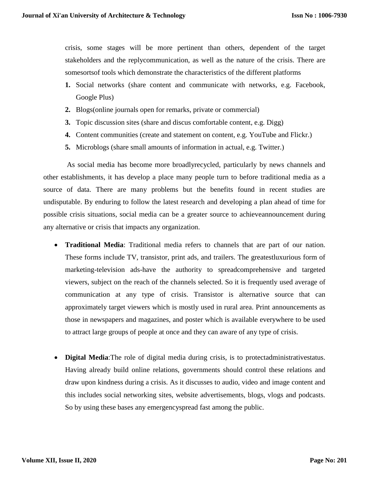crisis, some stages will be more pertinent than others, dependent of the target stakeholders and the replycommunication, as well as the nature of the crisis. There are somesortsof tools which demonstrate the characteristics of the different platforms

- **1.** Social networks (share content and communicate with networks, e.g. Facebook, Google Plus)
- **2.** Blogs(online journals open for remarks, private or commercial)
- **3.** Topic discussion sites (share and discus comfortable content, e.g. Digg)
- **4.** Content communities (create and statement on content, e.g. YouTube and Flickr.)
- **5.** Microblogs (share small amounts of information in actual, e.g. Twitter.)

 As social media has become more broadlyrecycled, particularly by news channels and other establishments, it has develop a place many people turn to before traditional media as a source of data. There are many problems but the benefits found in recent studies are undisputable. By enduring to follow the latest research and developing a plan ahead of time for possible crisis situations, social media can be a greater source to achieveannouncement during any alternative or crisis that impacts any organization.

- **Traditional Media**: Traditional media refers to channels that are part of our nation. These forms include TV, transistor, print ads, and trailers. The greatestluxurious form of marketing-television ads-have the authority to spreadcomprehensive and targeted viewers, subject on the reach of the channels selected. So it is frequently used average of communication at any type of crisis. Transistor is alternative source that can approximately target viewers which is mostly used in rural area. Print announcements as those in newspapers and magazines, and poster which is available everywhere to be used to attract large groups of people at once and they can aware of any type of crisis.
- **Digital Media**:The role of digital media during crisis, is to protectadministrativestatus. Having already build online relations, governments should control these relations and draw upon kindness during a crisis. As it discusses to audio, video and image content and this includes social networking sites, website advertisements, blogs, vlogs and podcasts. So by using these bases any emergencyspread fast among the public.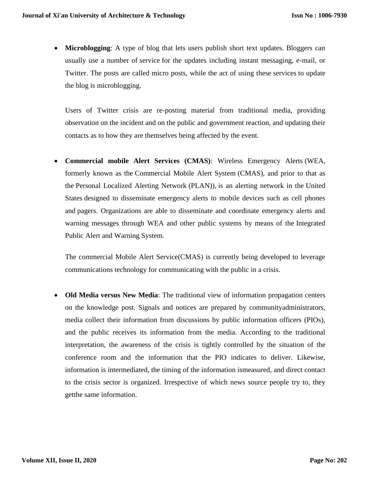**Microblogging**: A type of blog that lets users publish short text updates. Bloggers can usually use a number of service for the updates including instant messaging, e-mail, or Twitter. The posts are called micro posts, while the act of using these services to update the blog is microblogging.

Users of Twitter crisis are re-posting material from traditional media, providing observation on the incident and on the public and government reaction, and updating their contacts as to how they are themselves being affected by the event.

 **Commercial mobile Alert Services (CMAS)**: Wireless Emergency Alerts (WEA, formerly known as the Commercial Mobile Alert System (CMAS), and prior to that as the Personal Localized Alerting Network (PLAN)), is an alerting network in the [United](https://en.wikipedia.org/wiki/United_States)  [States](https://en.wikipedia.org/wiki/United_States) designed to disseminate emergency alerts to mobile devices such as cell phones and [pagers.](https://en.wikipedia.org/wiki/Pager) Organizations are able to disseminate and coordinate emergency alerts and warning messages through WEA and other public systems by means of the [Integrated](https://en.wikipedia.org/wiki/Integrated_Public_Alert_and_Warning_System)  [Public Alert and Warning System.](https://en.wikipedia.org/wiki/Integrated_Public_Alert_and_Warning_System)

The commercial Mobile Alert Service(CMAS) is currently being developed to leverage communications technology for communicating with the public in a crisis.

 **Old Media versus New Media**: The traditional view of information propagation centers on the knowledge post. Signals and notices are prepared by communityadministrators, media collect their information from discussions by public information officers (PIOs), and the public receives its information from the media. According to the traditional interpretation, the awareness of the crisis is tightly controlled by the situation of the conference room and the information that the PIO indicates to deliver. Likewise, information is intermediated, the timing of the information ismeasured, and direct contact to the crisis sector is organized. Irrespective of which news source people try to, they getthe same information.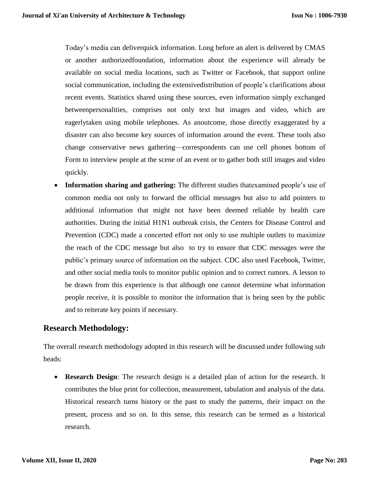Today's media can deliverquick information. Long before an alert is delivered by CMAS or another authorizedfoundation, information about the experience will already be available on social media locations, such as Twitter or Facebook, that support online social communication, including the extensivedistribution of people's clarifications about recent events. Statistics shared using these sources, even information simply exchanged betweenpersonalities, comprises not only text but images and video, which are eagerlytaken using mobile telephones. As anoutcome, those directly exaggerated by a disaster can also become key sources of information around the event. These tools also change conservative news gathering—correspondents can use cell phones bottom of Form to interview people at the scene of an event or to gather both still images and video quickly.

 **Information sharing and gathering:** The different studies thatexamined people's use of common media not only to forward the official messages but also to add pointers to additional information that might not have been deemed reliable by health care authorities. During the initial H1N1 outbreak crisis, the Centers for Disease Control and Prevention (CDC) made a concerted effort not only to use multiple outlets to maximize the reach of the CDC message but also to try to ensure that CDC messages were the public's primary source of information on the subject. CDC also used Facebook, Twitter, and other social media tools to monitor public opinion and to correct rumors. A lesson to be drawn from this experience is that although one cannot determine what information people receive, it is possible to monitor the information that is being seen by the public and to reiterate key points if necessary.

## **Research Methodology:**

The overall research methodology adopted in this research will be discussed under following sub heads:

 **Research Design**: The research design is a detailed plan of action for the research. It contributes the blue print for collection, measurement, tabulation and analysis of the data. Historical research turns history or the past to study the patterns, their impact on the present, process and so on. In this sense, this research can be termed as a historical research.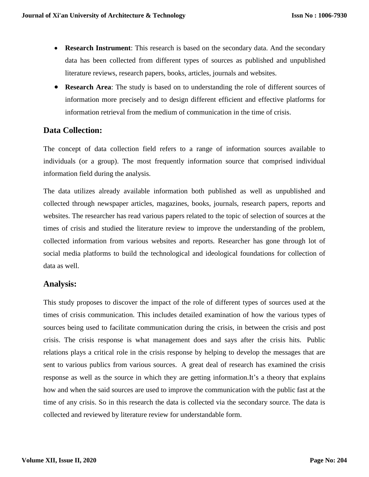- **Research Instrument**: This research is based on the secondary data. And the secondary data has been collected from different types of sources as published and unpublished literature reviews, research papers, books, articles, journals and websites.
- **Research Area**: The study is based on to understanding the role of different sources of information more precisely and to design different efficient and effective platforms for information retrieval from the medium of communication in the time of crisis.

# **Data Collection:**

The concept of data collection field refers to a range of information sources available to individuals (or a group). The most frequently information source that comprised individual information field during the analysis.

The data utilizes already available information both published as well as unpublished and collected through newspaper articles, magazines, books, journals, research papers, reports and websites. The researcher has read various papers related to the topic of selection of sources at the times of crisis and studied the literature review to improve the understanding of the problem, collected information from various websites and reports. Researcher has gone through lot of social media platforms to build the technological and ideological foundations for collection of data as well.

## **Analysis:**

This study proposes to discover the impact of the role of different types of sources used at the times of crisis communication. This includes detailed examination of how the various types of sources being used to facilitate communication during the crisis, in between the crisis and post crisis. The crisis response is what management does and says after the crisis hits. Public relations plays a critical role in the crisis response by helping to develop the messages that are sent to various publics from various sources. A great deal of research has examined the crisis response as well as the source in which they are getting information.It's a theory that explains how and when the said sources are used to improve the communication with the public fast at the time of any crisis. So in this research the data is collected via the secondary source. The data is collected and reviewed by literature review for understandable form.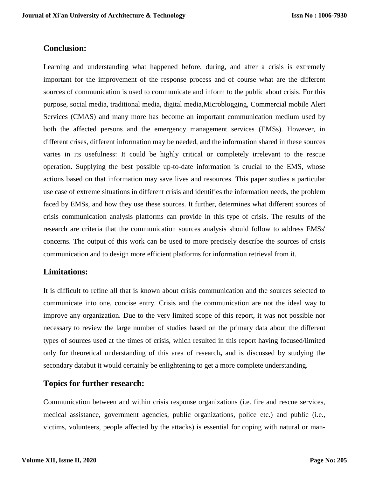## **Conclusion:**

Learning and understanding what happened before, during, and after a crisis is extremely important for the improvement of the response process and of course what are the different sources of communication is used to communicate and inform to the public about crisis. For this purpose, social media, traditional media, digital media,Microblogging, Commercial mobile Alert Services (CMAS) and many more has become an important communication medium used by both the affected persons and the emergency management services (EMSs). However, in different crises, different information may be needed, and the information shared in these sources varies in its usefulness: It could be highly critical or completely irrelevant to the rescue operation. Supplying the best possible up-to-date information is crucial to the EMS, whose actions based on that information may save lives and resources. This paper studies a particular use case of extreme situations in different crisis and identifies the information needs, the problem faced by EMSs, and how they use these sources. It further, determines what different sources of crisis communication analysis platforms can provide in this type of crisis. The results of the research are criteria that the communication sources analysis should follow to address EMSs' concerns. The output of this work can be used to more precisely describe the sources of crisis communication and to design more efficient platforms for information retrieval from it.

## **Limitations:**

It is difficult to refine all that is known about crisis communication and the sources selected to communicate into one, concise entry. Crisis and the communication are not the ideal way to improve any organization. Due to the very limited scope of this report, it was not possible nor necessary to review the large number of studies based on the primary data about the different types of sources used at the times of crisis, which resulted in this report having focused/limited only for theoretical understanding of this area of research**,** and is discussed by studying the secondary databut it would certainly be enlightening to get a more complete understanding.

## **Topics for further research:**

Communication between and within crisis response organizations (i.e. fire and rescue services, medical assistance, government agencies, public organizations, police etc.) and public (i.e., victims, volunteers, people affected by the attacks) is essential for coping with natural or man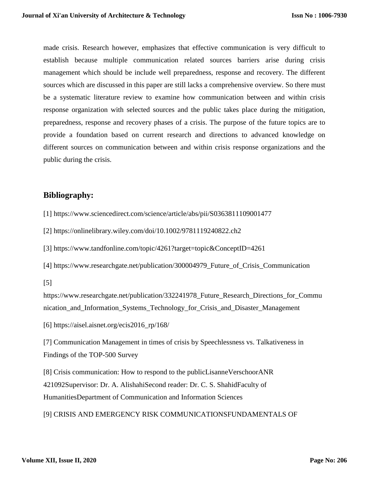made crisis. Research however, emphasizes that effective communication is very difficult to establish because multiple communication related sources barriers arise during crisis management which should be include well preparedness, response and recovery. The different sources which are discussed in this paper are still lacks a comprehensive overview. So there must be a systematic literature review to examine how communication between and within crisis response organization with selected sources and the public takes place during the mitigation, preparedness, response and recovery phases of a crisis. The purpose of the future topics are to provide a foundation based on current research and directions to advanced knowledge on different sources on communication between and within crisis response organizations and the public during the crisis.

# **Bibliography:**

- [1] https://www.sciencedirect.com/science/article/abs/pii/S0363811109001477
- [2] https://onlinelibrary.wiley.com/doi/10.1002/9781119240822.ch2
- [3] https://www.tandfonline.com/topic/4261?target=topic&ConceptID=4261
- [4] https://www.researchgate.net/publication/300004979\_Future\_of\_Crisis\_Communication
- [5]

https://www.researchgate.net/publication/332241978 Future Research Directions for Commu nication\_and\_Information\_Systems\_Technology\_for\_Crisis\_and\_Disaster\_Management

[6] https://aisel.aisnet.org/ecis2016\_rp/168/

[7] Communication Management in times of crisis by Speechlessness vs. Talkativeness in Findings of the TOP-500 Survey

[8] Crisis communication: How to respond to the publicLisanneVerschoorANR 421092Supervisor: Dr. A. AlishahiSecond reader: Dr. C. S. ShahidFaculty of HumanitiesDepartment of Communication and Information Sciences

[9] CRISIS AND EMERGENCY RISK COMMUNICATIONSFUNDAMENTALS OF